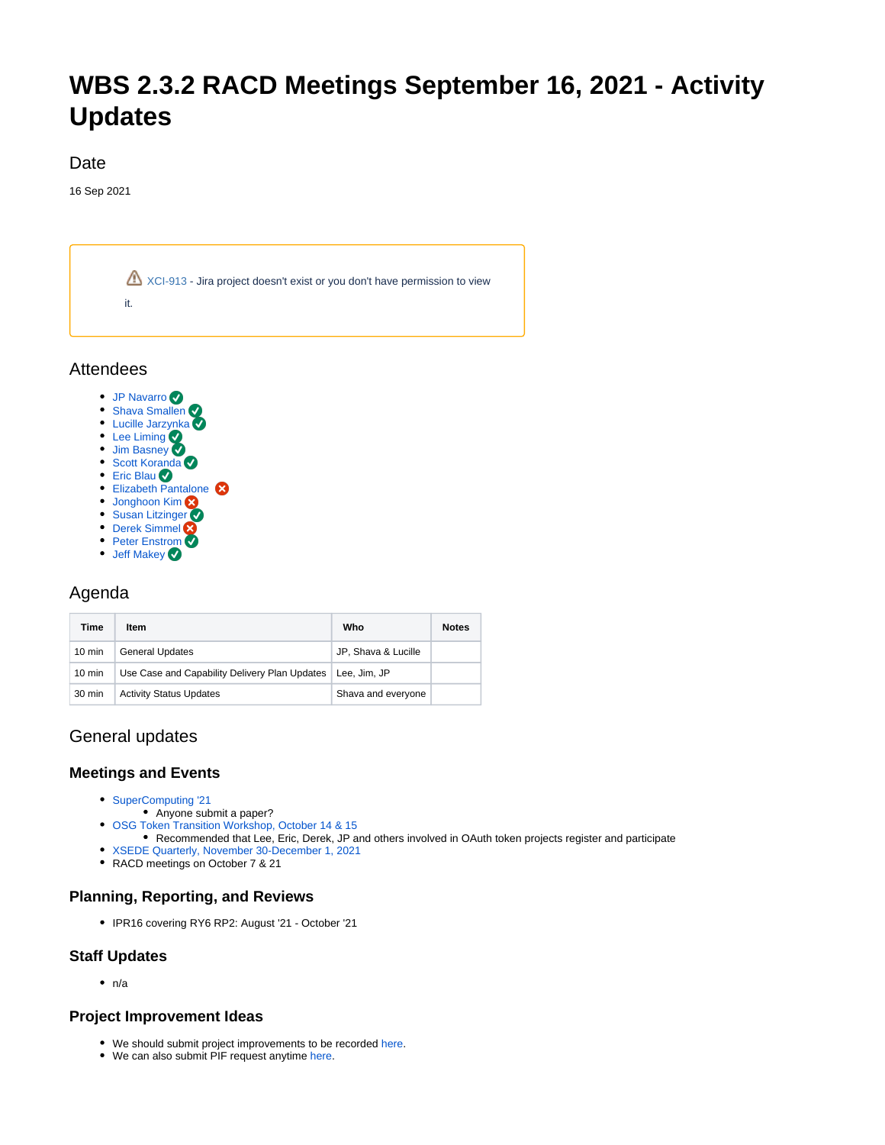# **WBS 2.3.2 RACD Meetings September 16, 2021 - Activity Updates**

#### Date

16 Sep 2021



Attendees

- [JP Navarro](https://confluence.xsede.org/display/~navarro)
- [Shava Smallen](https://confluence.xsede.org/display/~ssmallen)
- [Lucille Jarzynka](https://confluence.xsede.org/display/~jarzynka) • [Lee Liming](https://confluence.xsede.org/display/~liming)
- [Jim Basney](https://confluence.xsede.org/display/~jbasney)
- **[Scott Koranda](https://confluence.xsede.org/display/~korandas)**
- [Eric Blau](https://confluence.xsede.org/display/~eblau)
- Elizabeth Pantalone
- [Jonghoon Kim](https://confluence.xsede.org/display/~jkm)
- [Susan Litzinger](https://confluence.xsede.org/display/~slitzing) **[Derek Simmel](https://confluence.xsede.org/display/~dsimmel)**
- [Peter Enstrom](https://confluence.xsede.org/display/~enstrom)
- [Jeff Makey](https://confluence.xsede.org/display/~jdmakey)

# Agenda

| Time             | Item                                          | Who                 | <b>Notes</b> |
|------------------|-----------------------------------------------|---------------------|--------------|
| $10 \text{ min}$ | <b>General Updates</b>                        | JP, Shava & Lucille |              |
| $10 \text{ min}$ | Use Case and Capability Delivery Plan Updates | Lee. Jim. JP        |              |
| 30 min           | <b>Activity Status Updates</b>                | Shava and everyone  |              |

## General updates

### **Meetings and Events**

- [SuperComputing '21](https://sc21.supercomputing.org/submit/)
	- Anyone submit a paper?
- [OSG Token Transition Workshop, October 14 & 15](https://indico.fnal.gov/event/50597/)
- Recommended that Lee, Eric, Derek, JP and others involved in OAuth token projects register and participate
- [XSEDE Quarterly, November 30-December 1, 2021](https://confluence.xsede.org/pages/viewpage.action?pageId=44271749)
- RACD meetings on October 7 & 21

#### **Planning, Reporting, and Reviews**

IPR16 covering RY6 RP2: August '21 - October '21

#### **Staff Updates**

 $\bullet$  n/a

#### **Project Improvement Ideas**

- We should submit project improvements to be recorded [here.](https://docs.google.com/spreadsheets/d/19YRAPeAForh5I9Xvhj8nKjROe3-JN7a1caLYbNamPaw/edit#gid=0)
- We can also submit PIF request anytime [here.](https://confluence.xsede.org/pages/viewpage.action?pageId=1676576)